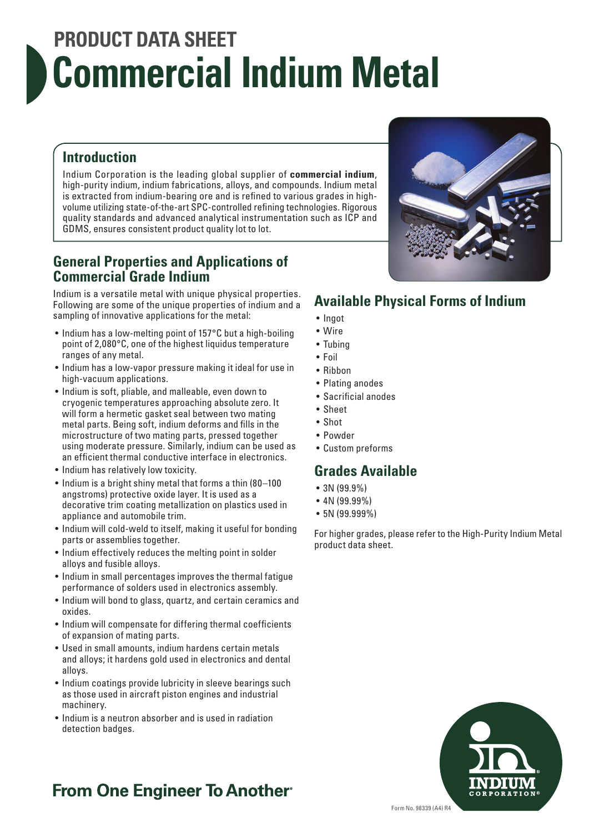# **PRODUCT DATA SHEET Commercial Indium Metal**

### **Introduction**

Indium Corporation is the leading global supplier of **commercial indium**, high-purity indium, indium fabrications, alloys, and compounds. Indium metal is extracted from indium-bearing ore and is refined to various grades in highvolume utilizing state-of-the-art SPC-controlled refining technologies. Rigorous quality standards and advanced analytical instrumentation such as ICP and GDMS, ensures consistent product quality lot to lot.

#### **General Properties and Applications of Commercial Grade Indium**

Indium is a versatile metal with unique physical properties. Following are some of the unique properties of indium and a sampling of innovative applications for the metal:

- Indium has a low-melting point of 157°C but a high-boiling point of 2,080°C, one of the highest liquidus temperature ranges of any metal.
- Indium has a low-vapor pressure making it ideal for use in high-vacuum applications.
- Indium is soft, pliable, and malleable, even down to cryogenic temperatures approaching absolute zero. It will form a hermetic gasket seal between two mating metal parts. Being soft, indium deforms and fills in the microstructure of two mating parts, pressed together using moderate pressure. Similarly, indium can be used as an efficient thermal conductive interface in electronics.
- Indium has relatively low toxicity.
- Indium is a bright shiny metal that forms a thin (80–100 angstroms) protective oxide layer. It is used as a decorative trim coating metallization on plastics used in appliance and automobile trim.
- Indium will cold-weld to itself, making it useful for bonding parts or assemblies together.
- Indium effectively reduces the melting point in solder alloys and fusible alloys.
- Indium in small percentages improves the thermal fatigue performance of solders used in electronics assembly.
- Indium will bond to glass, quartz, and certain ceramics and oxides.
- Indium will compensate for differing thermal coefficients of expansion of mating parts.
- Used in small amounts, indium hardens certain metals and alloys; it hardens gold used in electronics and dental alloys.
- Indium coatings provide lubricity in sleeve bearings such as those used in aircraft piston engines and industrial machinery.
- Indium is a neutron absorber and is used in radiation detection badges.

## **Available Physical Forms of Indium**

- Ingot
- Wire
- Tubing
- Foil
- Ribbon
- Plating anodes
- Sacrificial anodes
- Sheet
- Shot
- Powder
- Custom preforms

### **Grades Available**

- 3N (99.9%)
- 4N (99.99%)
- 5N (99.999%)

For higher grades, please refer to the High-Purity Indium Metal product data sheet.



## **From One Engineer To Another**